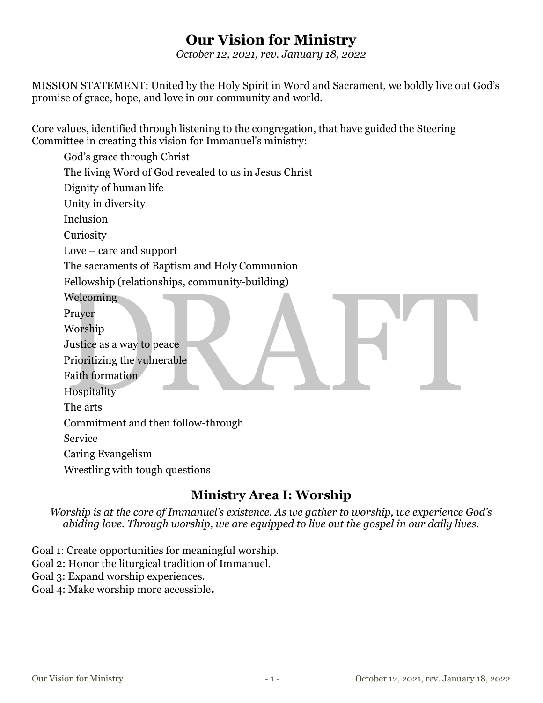# Our Vision for Ministry

October 12, 2021, rev. January 18, 2022

MISSION STATEMENT: United by the Holy Spirit in Word and Sacrament, we boldly live out God's promise of grace, hope, and love in our community and world.

Core values, identified through listening to the congregation, that have guided the Steering Committee in creating this vision for Immanuel's ministry:

God's grace through Christ The living Word of God revealed to us in Jesus Christ Dignity of human life Unity in diversity Inclusion **Curiosity** Love – care and support The sacraments of Baptism and Holy Communion Fellowship (relationships, community-building) Welcoming Prayer Worship Justice as a way to peace Prioritizing the vulnerable Faith formation Hospitality The arts Commitment and then follow-through Service Caring Evangelism Wrestling with tough questions

# Ministry Area I: Worship

Worship is at the core of Immanuel's existence. As we gather to worship, we experience God's abiding love. Through worship, we are equipped to live out the gospel in our daily lives.

Goal 1: Create opportunities for meaningful worship.

- Goal 2: Honor the liturgical tradition of Immanuel.
- Goal 3: Expand worship experiences.

Goal 4: Make worship more accessible.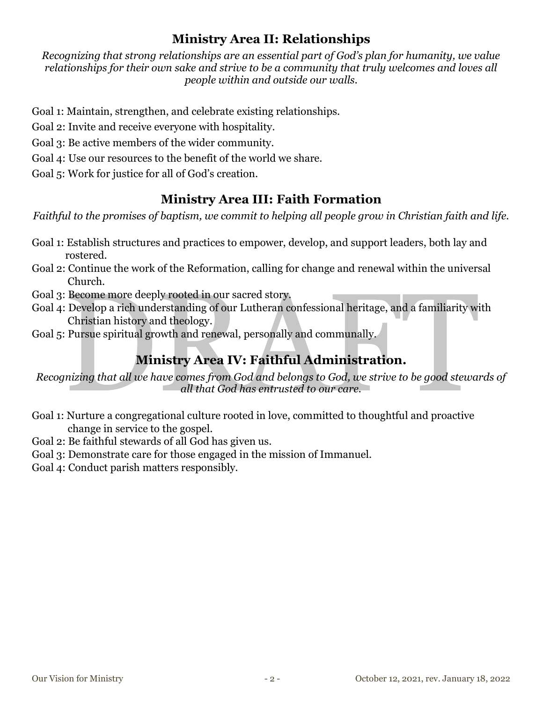## Ministry Area II: Relationships

Recognizing that strong relationships are an essential part of God's plan for humanity, we value relationships for their own sake and strive to be a community that truly welcomes and loves all people within and outside our walls.

Goal 1: Maintain, strengthen, and celebrate existing relationships.

Goal 2: Invite and receive everyone with hospitality.

Goal 3: Be active members of the wider community.

Goal 4: Use our resources to the benefit of the world we share.

Goal 5: Work for justice for all of God's creation.

# Ministry Area III: Faith Formation

Faithful to the promises of baptism, we commit to helping all people grow in Christian faith and life.

- Goal 1: Establish structures and practices to empower, develop, and support leaders, both lay and rostered.
- Goal 2: Continue the work of the Reformation, calling for change and renewal within the universal Church.
- Goal 3: Become more deeply rooted in our sacred story.
- Goal 4: Develop a rich understanding of our Lutheran confessional heritage, and a familiarity with Christian history and theology.
- Goal 5: Pursue spiritual growth and renewal, personally and communally.

# Ministry Area IV: Faithful Administration.

Recognizing that all we have comes from God and belongs to God, we strive to be good stewards of all that God has entrusted to our care.

- Goal 1: Nurture a congregational culture rooted in love, committed to thoughtful and proactive change in service to the gospel.
- Goal 2: Be faithful stewards of all God has given us.
- Goal 3: Demonstrate care for those engaged in the mission of Immanuel.
- Goal 4: Conduct parish matters responsibly.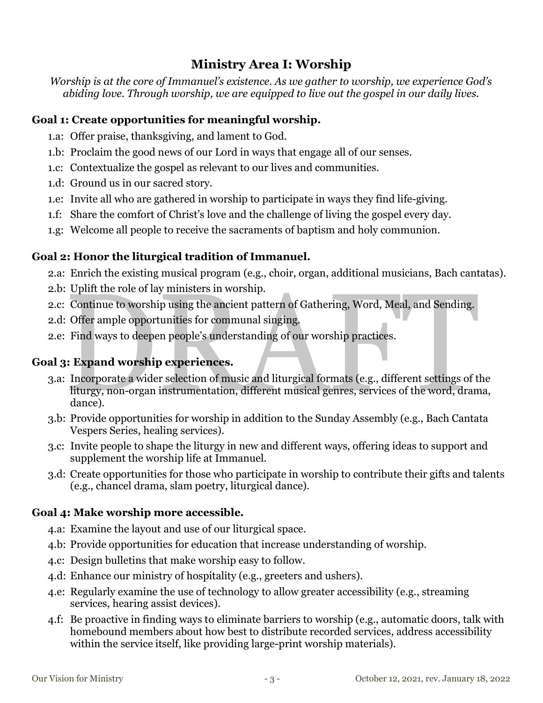## Ministry Area I: Worship

Worship is at the core of Immanuel's existence. As we gather to worship, we experience God's abiding love. Through worship, we are equipped to live out the gospel in our daily lives.

#### Goal 1: Create opportunities for meaningful worship.

- 1.a: Offer praise, thanksgiving, and lament to God.
- 1.b: Proclaim the good news of our Lord in ways that engage all of our senses.
- 1.c: Contextualize the gospel as relevant to our lives and communities.
- 1.d: Ground us in our sacred story.
- 1.e: Invite all who are gathered in worship to participate in ways they find life-giving.
- 1.f: Share the comfort of Christ's love and the challenge of living the gospel every day.
- 1.g: Welcome all people to receive the sacraments of baptism and holy communion.

## Goal 2: Honor the liturgical tradition of Immanuel.

- 2.a: Enrich the existing musical program (e.g., choir, organ, additional musicians, Bach cantatas).
- 2.b: Uplift the role of lay ministers in worship.
- 2.c: Continue to worship using the ancient pattern of Gathering, Word, Meal, and Sending.
- 2.d: Offer ample opportunities for communal singing.
- 2.e: Find ways to deepen people's understanding of our worship practices.

## Goal 3: Expand worship experiences.

- 3.a: Incorporate a wider selection of music and liturgical formats (e.g., different settings of the liturgy, non-organ instrumentation, different musical genres, services of the word, drama, dance).
- 3.b: Provide opportunities for worship in addition to the Sunday Assembly (e.g., Bach Cantata Vespers Series, healing services).
- 3.c: Invite people to shape the liturgy in new and different ways, offering ideas to support and supplement the worship life at Immanuel.
- 3.d: Create opportunities for those who participate in worship to contribute their gifts and talents (e.g., chancel drama, slam poetry, liturgical dance).

#### Goal 4: Make worship more accessible.

- 4.a: Examine the layout and use of our liturgical space.
- 4.b: Provide opportunities for education that increase understanding of worship.
- 4.c: Design bulletins that make worship easy to follow.
- 4.d: Enhance our ministry of hospitality (e.g., greeters and ushers).
- 4.e: Regularly examine the use of technology to allow greater accessibility (e.g., streaming services, hearing assist devices).
- 4.f: Be proactive in finding ways to eliminate barriers to worship (e.g., automatic doors, talk with homebound members about how best to distribute recorded services, address accessibility within the service itself, like providing large-print worship materials).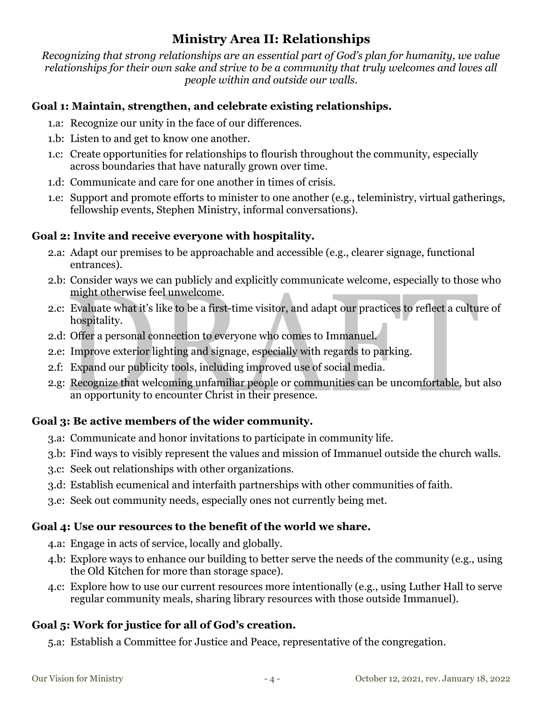## Ministry Area II: Relationships

Recognizing that strong relationships are an essential part of God's plan for humanity, we value relationships for their own sake and strive to be a community that truly welcomes and loves all people within and outside our walls.

### Goal 1: Maintain, strengthen, and celebrate existing relationships.

- 1.a: Recognize our unity in the face of our differences.
- 1.b: Listen to and get to know one another.
- 1.c: Create opportunities for relationships to flourish throughout the community, especially across boundaries that have naturally grown over time.
- 1.d: Communicate and care for one another in times of crisis.
- 1.e: Support and promote efforts to minister to one another (e.g., teleministry, virtual gatherings, fellowship events, Stephen Ministry, informal conversations).

#### Goal 2: Invite and receive everyone with hospitality.

- 2.a: Adapt our premises to be approachable and accessible (e.g., clearer signage, functional entrances).
- 2.b: Consider ways we can publicly and explicitly communicate welcome, especially to those who might otherwise feel unwelcome.
- 2.c: Evaluate what it's like to be a first-time visitor, and adapt our practices to reflect a culture of hospitality.
- 2.d: Offer a personal connection to everyone who comes to Immanuel.
- 2.e: Improve exterior lighting and signage, especially with regards to parking.
- 2.f: Expand our publicity tools, including improved use of social media.
- 2.g: Recognize that welcoming unfamiliar people or communities can be uncomfortable, but also an opportunity to encounter Christ in their presence.

#### Goal 3: Be active members of the wider community.

- 3.a: Communicate and honor invitations to participate in community life.
- 3.b: Find ways to visibly represent the values and mission of Immanuel outside the church walls.
- 3.c: Seek out relationships with other organizations.
- 3.d: Establish ecumenical and interfaith partnerships with other communities of faith.
- 3.e: Seek out community needs, especially ones not currently being met.

#### Goal 4: Use our resources to the benefit of the world we share.

- 4.a: Engage in acts of service, locally and globally.
- 4.b: Explore ways to enhance our building to better serve the needs of the community (e.g., using the Old Kitchen for more than storage space).
- 4.c: Explore how to use our current resources more intentionally (e.g., using Luther Hall to serve regular community meals, sharing library resources with those outside Immanuel).

## Goal 5: Work for justice for all of God's creation.

5.a: Establish a Committee for Justice and Peace, representative of the congregation.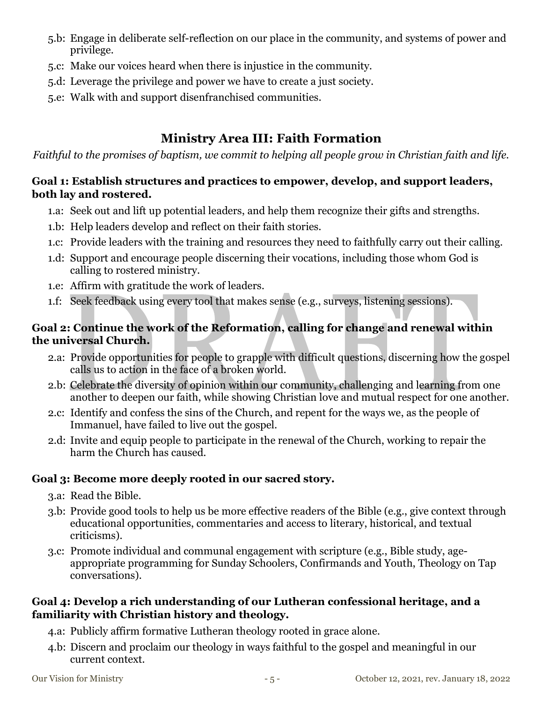- 5.b: Engage in deliberate self-reflection on our place in the community, and systems of power and privilege.
- 5.c: Make our voices heard when there is injustice in the community.
- 5.d: Leverage the privilege and power we have to create a just society.
- 5.e: Walk with and support disenfranchised communities.

# Ministry Area III: Faith Formation

Faithful to the promises of baptism, we commit to helping all people grow in Christian faith and life.

## Goal 1: Establish structures and practices to empower, develop, and support leaders, both lay and rostered.

- 1.a: Seek out and lift up potential leaders, and help them recognize their gifts and strengths.
- 1.b: Help leaders develop and reflect on their faith stories.
- 1.c: Provide leaders with the training and resources they need to faithfully carry out their calling.
- 1.d: Support and encourage people discerning their vocations, including those whom God is calling to rostered ministry.
- 1.e: Affirm with gratitude the work of leaders.
- 1.f: Seek feedback using every tool that makes sense (e.g., surveys, listening sessions).

## Goal 2: Continue the work of the Reformation, calling for change and renewal within the universal Church.

- 2.a: Provide opportunities for people to grapple with difficult questions, discerning how the gospel calls us to action in the face of a broken world.
- 2.b: Celebrate the diversity of opinion within our community, challenging and learning from one another to deepen our faith, while showing Christian love and mutual respect for one another.
- 2.c: Identify and confess the sins of the Church, and repent for the ways we, as the people of Immanuel, have failed to live out the gospel.
- 2.d: Invite and equip people to participate in the renewal of the Church, working to repair the harm the Church has caused.

## Goal 3: Become more deeply rooted in our sacred story.

- 3.a: Read the Bible.
- 3.b: Provide good tools to help us be more effective readers of the Bible (e.g., give context through educational opportunities, commentaries and access to literary, historical, and textual criticisms).
- 3.c: Promote individual and communal engagement with scripture (e.g., Bible study, ageappropriate programming for Sunday Schoolers, Confirmands and Youth, Theology on Tap conversations).

## Goal 4: Develop a rich understanding of our Lutheran confessional heritage, and a familiarity with Christian history and theology.

- 4.a: Publicly affirm formative Lutheran theology rooted in grace alone.
- 4.b: Discern and proclaim our theology in ways faithful to the gospel and meaningful in our current context.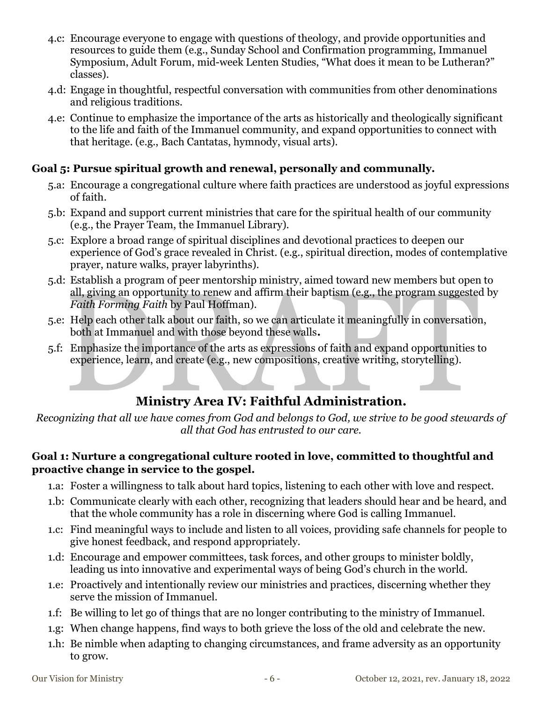- 4.c: Encourage everyone to engage with questions of theology, and provide opportunities and resources to guide them (e.g., Sunday School and Confirmation programming, Immanuel Symposium, Adult Forum, mid-week Lenten Studies, "What does it mean to be Lutheran?" classes).
- 4.d: Engage in thoughtful, respectful conversation with communities from other denominations and religious traditions.
- 4.e: Continue to emphasize the importance of the arts as historically and theologically significant to the life and faith of the Immanuel community, and expand opportunities to connect with that heritage. (e.g., Bach Cantatas, hymnody, visual arts).

### Goal 5: Pursue spiritual growth and renewal, personally and communally.

- 5.a: Encourage a congregational culture where faith practices are understood as joyful expressions of faith.
- 5.b: Expand and support current ministries that care for the spiritual health of our community (e.g., the Prayer Team, the Immanuel Library).
- 5.c: Explore a broad range of spiritual disciplines and devotional practices to deepen our experience of God's grace revealed in Christ. (e.g., spiritual direction, modes of contemplative prayer, nature walks, prayer labyrinths).
- 5.d: Establish a program of peer mentorship ministry, aimed toward new members but open to all, giving an opportunity to renew and affirm their baptism (e.g., the program suggested by Faith Forming Faith by Paul Hoffman).
- 5.e: Help each other talk about our faith, so we can articulate it meaningfully in conversation, both at Immanuel and with those beyond these walls.
- 5.f: Emphasize the importance of the arts as expressions of faith and expand opportunities to experience, learn, and create (e.g., new compositions, creative writing, storytelling).

## Ministry Area IV: Faithful Administration.

Recognizing that all we have comes from God and belongs to God, we strive to be good stewards of all that God has entrusted to our care.

#### Goal 1: Nurture a congregational culture rooted in love, committed to thoughtful and proactive change in service to the gospel.

- 1.a: Foster a willingness to talk about hard topics, listening to each other with love and respect.
- 1.b: Communicate clearly with each other, recognizing that leaders should hear and be heard, and that the whole community has a role in discerning where God is calling Immanuel.
- 1.c: Find meaningful ways to include and listen to all voices, providing safe channels for people to give honest feedback, and respond appropriately.
- 1.d: Encourage and empower committees, task forces, and other groups to minister boldly, leading us into innovative and experimental ways of being God's church in the world.
- 1.e: Proactively and intentionally review our ministries and practices, discerning whether they serve the mission of Immanuel.
- 1.f: Be willing to let go of things that are no longer contributing to the ministry of Immanuel.
- 1.g: When change happens, find ways to both grieve the loss of the old and celebrate the new.
- 1.h: Be nimble when adapting to changing circumstances, and frame adversity as an opportunity to grow.